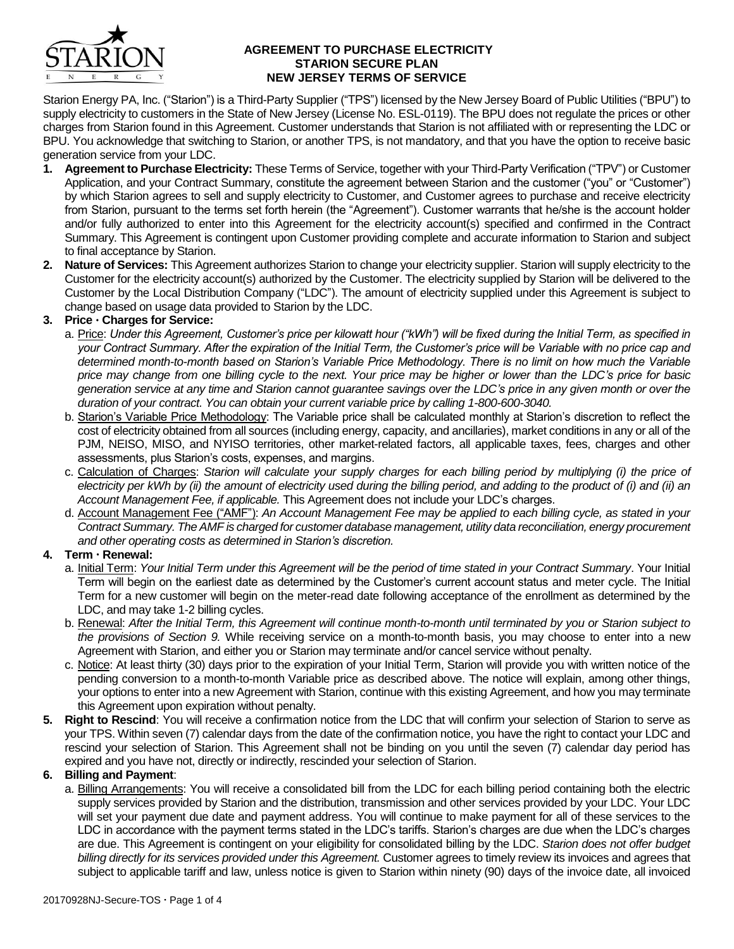

#### **AGREEMENT TO PURCHASE ELECTRICITY STARION SECURE PLAN NEW JERSEY TERMS OF SERVICE**

Starion Energy PA, Inc. ("Starion") is a Third-Party Supplier ("TPS") licensed by the New Jersey Board of Public Utilities ("BPU") to supply electricity to customers in the State of New Jersey (License No. ESL-0119). The BPU does not regulate the prices or other charges from Starion found in this Agreement. Customer understands that Starion is not affiliated with or representing the LDC or BPU. You acknowledge that switching to Starion, or another TPS, is not mandatory, and that you have the option to receive basic generation service from your LDC.

- **1. Agreement to Purchase Electricity:** These Terms of Service, together with your Third-Party Verification ("TPV") or Customer Application, and your Contract Summary, constitute the agreement between Starion and the customer ("you" or "Customer") by which Starion agrees to sell and supply electricity to Customer, and Customer agrees to purchase and receive electricity from Starion, pursuant to the terms set forth herein (the "Agreement"). Customer warrants that he/she is the account holder and/or fully authorized to enter into this Agreement for the electricity account(s) specified and confirmed in the Contract Summary. This Agreement is contingent upon Customer providing complete and accurate information to Starion and subject to final acceptance by Starion.
- **2. Nature of Services:** This Agreement authorizes Starion to change your electricity supplier. Starion will supply electricity to the Customer for the electricity account(s) authorized by the Customer. The electricity supplied by Starion will be delivered to the Customer by the Local Distribution Company ("LDC"). The amount of electricity supplied under this Agreement is subject to change based on usage data provided to Starion by the LDC.

## **3. Price Charges for Service:**

- a. Price: *Under this Agreement, Customer's price per kilowatt hour ("kWh") will be fixed during the Initial Term, as specified in your Contract Summary. After the expiration of the Initial Term, the Customer's price will be Variable with no price cap and determined month-to-month based on Starion's Variable Price Methodology. There is no limit on how much the Variable price may change from one billing cycle to the next. Your price may be higher or lower than the LDC's price for basic generation service at any time and Starion cannot guarantee savings over the LDC's price in any given month or over the duration of your contract. You can obtain your current variable price by calling 1-800-600-3040.*
- b. Starion's Variable Price Methodology: The Variable price shall be calculated monthly at Starion's discretion to reflect the cost of electricity obtained from all sources (including energy, capacity, and ancillaries), market conditions in any or all of the PJM, NEISO, MISO, and NYISO territories, other market-related factors, all applicable taxes, fees, charges and other assessments, plus Starion's costs, expenses, and margins.
- c. Calculation of Charges: *Starion will calculate your supply charges for each billing period by multiplying (i) the price of electricity per kWh by (ii) the amount of electricity used during the billing period, and adding to the product of (i) and (ii) an Account Management Fee, if applicable.* This Agreement does not include your LDC's charges.
- d. Account Management Fee ("AMF"): *An Account Management Fee may be applied to each billing cycle, as stated in your Contract Summary. The AMF is charged for customer database management, utility data reconciliation, energy procurement and other operating costs as determined in Starion's discretion.*

## **4. Term Renewal:**

- a. Initial Term: *Your Initial Term under this Agreement will be the period of time stated in your Contract Summary*. Your Initial Term will begin on the earliest date as determined by the Customer's current account status and meter cycle. The Initial Term for a new customer will begin on the meter-read date following acceptance of the enrollment as determined by the LDC, and may take 1-2 billing cycles.
- b. Renewal: *After the Initial Term, this Agreement will continue month-to-month until terminated by you or Starion subject to the provisions of Section 9.* While receiving service on a month-to-month basis, you may choose to enter into a new Agreement with Starion, and either you or Starion may terminate and/or cancel service without penalty.
- c. Notice: At least thirty (30) days prior to the expiration of your Initial Term, Starion will provide you with written notice of the pending conversion to a month-to-month Variable price as described above. The notice will explain, among other things, your options to enter into a new Agreement with Starion, continue with this existing Agreement, and how you may terminate this Agreement upon expiration without penalty.
- **5. Right to Rescind**: You will receive a confirmation notice from the LDC that will confirm your selection of Starion to serve as your TPS. Within seven (7) calendar days from the date of the confirmation notice, you have the right to contact your LDC and rescind your selection of Starion. This Agreement shall not be binding on you until the seven (7) calendar day period has expired and you have not, directly or indirectly, rescinded your selection of Starion.

# **6. Billing and Payment**:

a. Billing Arrangements: You will receive a consolidated bill from the LDC for each billing period containing both the electric supply services provided by Starion and the distribution, transmission and other services provided by your LDC. Your LDC will set your payment due date and payment address. You will continue to make payment for all of these services to the LDC in accordance with the payment terms stated in the LDC's tariffs. Starion's charges are due when the LDC's charges are due. This Agreement is contingent on your eligibility for consolidated billing by the LDC. *Starion does not offer budget billing directly for its services provided under this Agreement.* Customer agrees to timely review its invoices and agrees that subject to applicable tariff and law, unless notice is given to Starion within ninety (90) days of the invoice date, all invoiced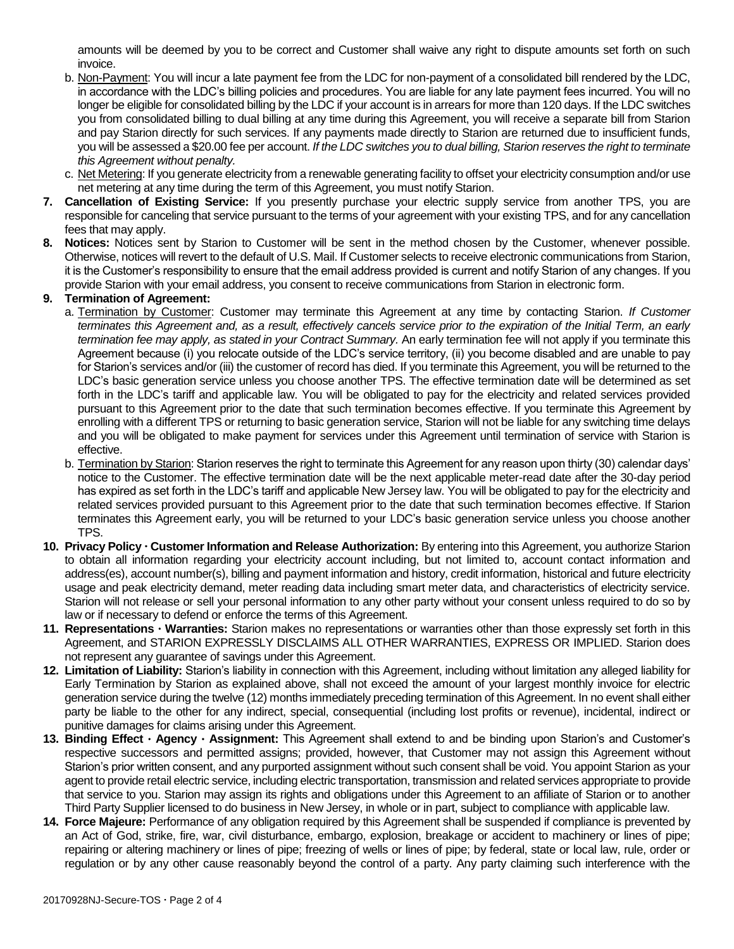amounts will be deemed by you to be correct and Customer shall waive any right to dispute amounts set forth on such invoice.

- b. Non-Payment: You will incur a late payment fee from the LDC for non-payment of a consolidated bill rendered by the LDC, in accordance with the LDC's billing policies and procedures. You are liable for any late payment fees incurred. You will no longer be eligible for consolidated billing by the LDC if your account is in arrears for more than 120 days. If the LDC switches you from consolidated billing to dual billing at any time during this Agreement, you will receive a separate bill from Starion and pay Starion directly for such services. If any payments made directly to Starion are returned due to insufficient funds, you will be assessed a \$20.00 fee per account. *If the LDC switches you to dual billing, Starion reserves the right to terminate this Agreement without penalty.*
- c. Net Metering: If you generate electricity from a renewable generating facility to offset your electricity consumption and/or use net metering at any time during the term of this Agreement, you must notify Starion.
- **7. Cancellation of Existing Service:** If you presently purchase your electric supply service from another TPS, you are responsible for canceling that service pursuant to the terms of your agreement with your existing TPS, and for any cancellation fees that may apply.
- **8. Notices:** Notices sent by Starion to Customer will be sent in the method chosen by the Customer, whenever possible. Otherwise, notices will revert to the default of U.S. Mail. If Customer selects to receive electronic communications from Starion, it is the Customer's responsibility to ensure that the email address provided is current and notify Starion of any changes. If you provide Starion with your email address, you consent to receive communications from Starion in electronic form.

### **9. Termination of Agreement:**

- a. Termination by Customer: Customer may terminate this Agreement at any time by contacting Starion. *If Customer terminates this Agreement and, as a result, effectively cancels service prior to the expiration of the Initial Term, an early termination fee may apply, as stated in your Contract Summary.* An early termination fee will not apply if you terminate this Agreement because (i) you relocate outside of the LDC's service territory, (ii) you become disabled and are unable to pay for Starion's services and/or (iii) the customer of record has died. If you terminate this Agreement, you will be returned to the LDC's basic generation service unless you choose another TPS. The effective termination date will be determined as set forth in the LDC's tariff and applicable law. You will be obligated to pay for the electricity and related services provided pursuant to this Agreement prior to the date that such termination becomes effective. If you terminate this Agreement by enrolling with a different TPS or returning to basic generation service, Starion will not be liable for any switching time delays and you will be obligated to make payment for services under this Agreement until termination of service with Starion is effective.
- b. Termination by Starion: Starion reserves the right to terminate this Agreement for any reason upon thirty (30) calendar days' notice to the Customer. The effective termination date will be the next applicable meter-read date after the 30-day period has expired as set forth in the LDC's tariff and applicable New Jersey law. You will be obligated to pay for the electricity and related services provided pursuant to this Agreement prior to the date that such termination becomes effective. If Starion terminates this Agreement early, you will be returned to your LDC's basic generation service unless you choose another TPS.
- **10. Privacy Policy Customer Information and Release Authorization:** By entering into this Agreement, you authorize Starion to obtain all information regarding your electricity account including, but not limited to, account contact information and address(es), account number(s), billing and payment information and history, credit information, historical and future electricity usage and peak electricity demand, meter reading data including smart meter data, and characteristics of electricity service. Starion will not release or sell your personal information to any other party without your consent unless required to do so by law or if necessary to defend or enforce the terms of this Agreement.
- **11. Representations Warranties:** Starion makes no representations or warranties other than those expressly set forth in this Agreement, and STARION EXPRESSLY DISCLAIMS ALL OTHER WARRANTIES, EXPRESS OR IMPLIED. Starion does not represent any guarantee of savings under this Agreement.
- **12. Limitation of Liability:** Starion's liability in connection with this Agreement, including without limitation any alleged liability for Early Termination by Starion as explained above, shall not exceed the amount of your largest monthly invoice for electric generation service during the twelve (12) months immediately preceding termination of this Agreement. In no event shall either party be liable to the other for any indirect, special, consequential (including lost profits or revenue), incidental, indirect or punitive damages for claims arising under this Agreement.
- **13. Binding Effect Agency Assignment:** This Agreement shall extend to and be binding upon Starion's and Customer's respective successors and permitted assigns; provided, however, that Customer may not assign this Agreement without Starion's prior written consent, and any purported assignment without such consent shall be void. You appoint Starion as your agent to provide retail electric service, including electric transportation, transmission and related services appropriate to provide that service to you. Starion may assign its rights and obligations under this Agreement to an affiliate of Starion or to another Third Party Supplier licensed to do business in New Jersey, in whole or in part, subject to compliance with applicable law.
- **14. Force Majeure:** Performance of any obligation required by this Agreement shall be suspended if compliance is prevented by an Act of God, strike, fire, war, civil disturbance, embargo, explosion, breakage or accident to machinery or lines of pipe; repairing or altering machinery or lines of pipe; freezing of wells or lines of pipe; by federal, state or local law, rule, order or regulation or by any other cause reasonably beyond the control of a party. Any party claiming such interference with the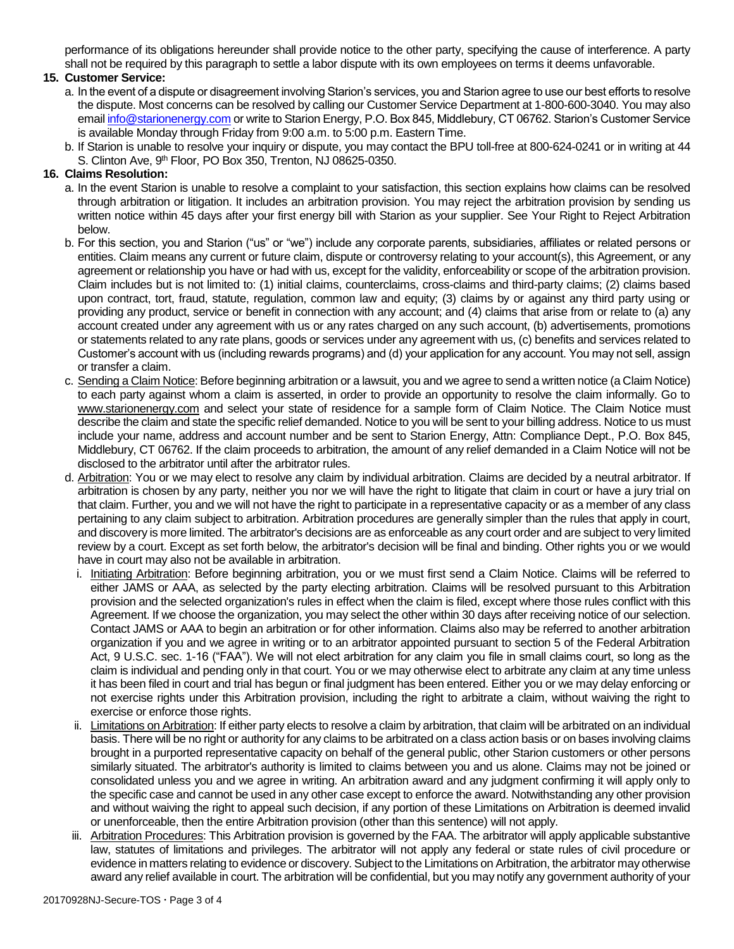performance of its obligations hereunder shall provide notice to the other party, specifying the cause of interference. A party shall not be required by this paragraph to settle a labor dispute with its own employees on terms it deems unfavorable.

## **15. Customer Service:**

- a. In the event of a dispute or disagreement involving Starion's services, you and Starion agree to use our best efforts to resolve the dispute. Most concerns can be resolved by calling our Customer Service Department at 1-800-600-3040. You may also emai[l info@starionenergy.com](mailto:info@starionenergy.com) or write to Starion Energy, P.O. Box 845, Middlebury, CT 06762. Starion's Customer Service is available Monday through Friday from 9:00 a.m. to 5:00 p.m. Eastern Time.
- b. If Starion is unable to resolve your inquiry or dispute, you may contact the BPU toll-free at 800-624-0241 or in writing at 44 S. Clinton Ave, 9<sup>th</sup> Floor, PO Box 350, Trenton, NJ 08625-0350.

### **16. Claims Resolution:**

- a. In the event Starion is unable to resolve a complaint to your satisfaction, this section explains how claims can be resolved through arbitration or litigation. It includes an arbitration provision. You may reject the arbitration provision by sending us written notice within 45 days after your first energy bill with Starion as your supplier. See Your Right to Reject Arbitration below.
- b. For this section, you and Starion ("us" or "we") include any corporate parents, subsidiaries, affiliates or related persons or entities. Claim means any current or future claim, dispute or controversy relating to your account(s), this Agreement, or any agreement or relationship you have or had with us, except for the validity, enforceability or scope of the arbitration provision. Claim includes but is not limited to: (1) initial claims, counterclaims, cross-claims and third-party claims; (2) claims based upon contract, tort, fraud, statute, regulation, common law and equity; (3) claims by or against any third party using or providing any product, service or benefit in connection with any account; and (4) claims that arise from or relate to (a) any account created under any agreement with us or any rates charged on any such account, (b) advertisements, promotions or statements related to any rate plans, goods or services under any agreement with us, (c) benefits and services related to Customer's account with us (including rewards programs) and (d) your application for any account. You may not sell, assign or transfer a claim.
- c. Sending a Claim Notice: Before beginning arbitration or a lawsuit, you and we agree to send a written notice (a Claim Notice) to each party against whom a claim is asserted, in order to provide an opportunity to resolve the claim informally. Go to www.starionenergy.com and select your state of residence for a sample form of Claim Notice. The Claim Notice must describe the claim and state the specific relief demanded. Notice to you will be sent to your billing address. Notice to us must include your name, address and account number and be sent to Starion Energy, Attn: Compliance Dept., P.O. Box 845, Middlebury, CT 06762. If the claim proceeds to arbitration, the amount of any relief demanded in a Claim Notice will not be disclosed to the arbitrator until after the arbitrator rules.
- d. Arbitration: You or we may elect to resolve any claim by individual arbitration. Claims are decided by a neutral arbitrator. If arbitration is chosen by any party, neither you nor we will have the right to litigate that claim in court or have a jury trial on that claim. Further, you and we will not have the right to participate in a representative capacity or as a member of any class pertaining to any claim subject to arbitration. Arbitration procedures are generally simpler than the rules that apply in court, and discovery is more limited. The arbitrator's decisions are as enforceable as any court order and are subject to very limited review by a court. Except as set forth below, the arbitrator's decision will be final and binding. Other rights you or we would have in court may also not be available in arbitration.
	- i. Initiating Arbitration: Before beginning arbitration, you or we must first send a Claim Notice. Claims will be referred to either JAMS or AAA, as selected by the party electing arbitration. Claims will be resolved pursuant to this Arbitration provision and the selected organization's rules in effect when the claim is filed, except where those rules conflict with this Agreement. If we choose the organization, you may select the other within 30 days after receiving notice of our selection. Contact JAMS or AAA to begin an arbitration or for other information. Claims also may be referred to another arbitration organization if you and we agree in writing or to an arbitrator appointed pursuant to section 5 of the Federal Arbitration Act, 9 U.S.C. sec. 1-16 ("FAA"). We will not elect arbitration for any claim you file in small claims court, so long as the claim is individual and pending only in that court. You or we may otherwise elect to arbitrate any claim at any time unless it has been filed in court and trial has begun or final judgment has been entered. Either you or we may delay enforcing or not exercise rights under this Arbitration provision, including the right to arbitrate a claim, without waiving the right to exercise or enforce those rights.
	- ii. Limitations on Arbitration: If either party elects to resolve a claim by arbitration, that claim will be arbitrated on an individual basis. There will be no right or authority for any claims to be arbitrated on a class action basis or on bases involving claims brought in a purported representative capacity on behalf of the general public, other Starion customers or other persons similarly situated. The arbitrator's authority is limited to claims between you and us alone. Claims may not be joined or consolidated unless you and we agree in writing. An arbitration award and any judgment confirming it will apply only to the specific case and cannot be used in any other case except to enforce the award. Notwithstanding any other provision and without waiving the right to appeal such decision, if any portion of these Limitations on Arbitration is deemed invalid or unenforceable, then the entire Arbitration provision (other than this sentence) will not apply.
- iii. Arbitration Procedures: This Arbitration provision is governed by the FAA. The arbitrator will apply applicable substantive law, statutes of limitations and privileges. The arbitrator will not apply any federal or state rules of civil procedure or evidence in matters relating to evidence or discovery. Subject to the Limitations on Arbitration, the arbitrator may otherwise award any relief available in court. The arbitration will be confidential, but you may notify any government authority of your